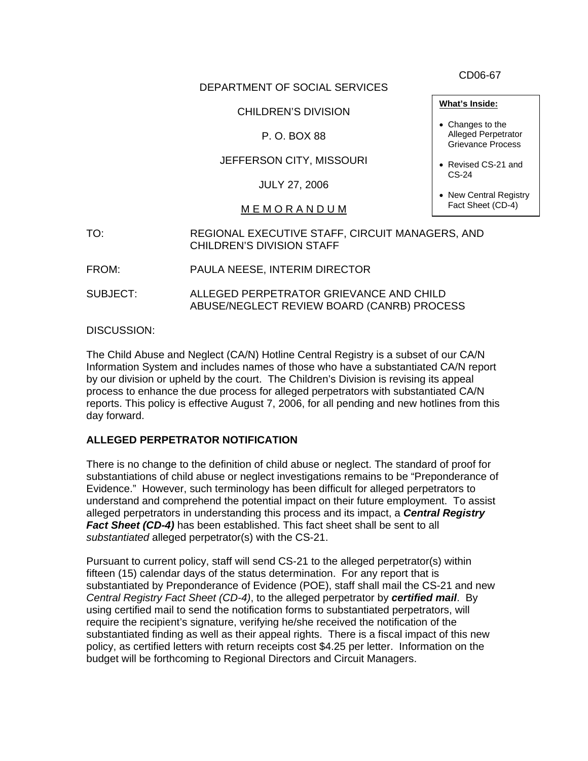DEPARTMENT OF SOCIAL SERVICES

CHILDREN'S DIVISION

# P. O. BOX 88

# JEFFERSON CITY, MISSOURI

JULY 27, 2006

## M E M O R A N D U M

- TO: REGIONAL EXECUTIVE STAFF, CIRCUIT MANAGERS, AND CHILDREN'S DIVISION STAFF
- FROM: PAULA NEESE, INTERIM DIRECTOR
- SUBJECT: ALLEGED PERPETRATOR GRIEVANCE AND CHILD ABUSE/NEGLECT REVIEW BOARD (CANRB) PROCESS

DISCUSSION:

The Child Abuse and Neglect (CA/N) Hotline Central Registry is a subset of our CA/N Information System and includes names of those who have a substantiated CA/N report by our division or upheld by the court. The Children's Division is revising its appeal process to enhance the due process for alleged perpetrators with substantiated CA/N reports. This policy is effective August 7, 2006, for all pending and new hotlines from this day forward.

# **ALLEGED PERPETRATOR NOTIFICATION**

There is no change to the definition of child abuse or neglect. The standard of proof for substantiations of child abuse or neglect investigations remains to be "Preponderance of Evidence." However, such terminology has been difficult for alleged perpetrators to understand and comprehend the potential impact on their future employment. To assist alleged perpetrators in understanding this process and its impact, a *Central Registry Fact Sheet (CD-4)* has been established. This fact sheet shall be sent to all *substantiated* alleged perpetrator(s) with the CS-21.

Pursuant to current policy, staff will send CS-21 to the alleged perpetrator(s) within fifteen (15) calendar days of the status determination. For any report that is substantiated by Preponderance of Evidence (POE), staff shall mail the CS-21 and new *Central Registry Fact Sheet (CD-4)*, to the alleged perpetrator by *certified mail*. By using certified mail to send the notification forms to substantiated perpetrators, will require the recipient's signature, verifying he/she received the notification of the substantiated finding as well as their appeal rights. There is a fiscal impact of this new policy, as certified letters with return receipts cost \$4.25 per letter. Information on the budget will be forthcoming to Regional Directors and Circuit Managers.

**What's Inside:**

- Changes to the Alleged Perpetrator Grievance Process
- Revised CS-21 and CS-24
- New Central Registry Fact Sheet (CD-4)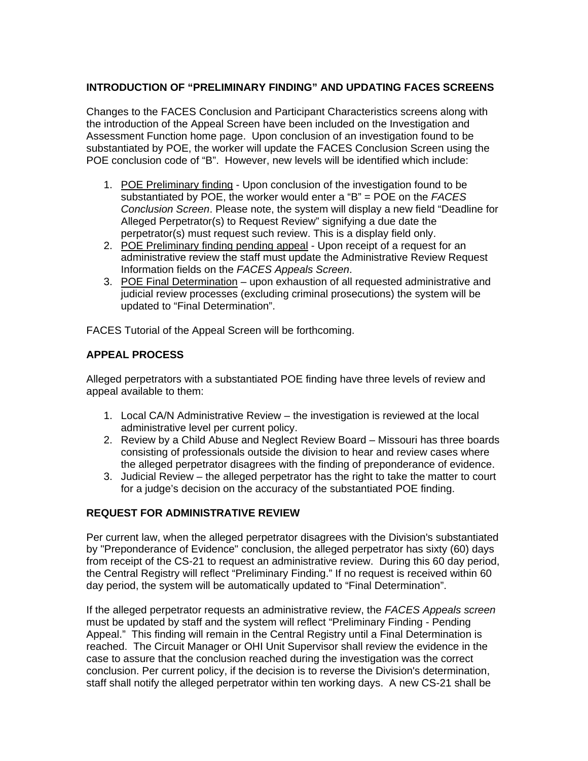## **INTRODUCTION OF "PRELIMINARY FINDING" AND UPDATING FACES SCREENS**

Changes to the FACES Conclusion and Participant Characteristics screens along with the introduction of the Appeal Screen have been included on the Investigation and Assessment Function home page. Upon conclusion of an investigation found to be substantiated by POE, the worker will update the FACES Conclusion Screen using the POE conclusion code of "B". However, new levels will be identified which include:

- 1. POE Preliminary finding Upon conclusion of the investigation found to be substantiated by POE, the worker would enter a "B" = POE on the *FACES Conclusion Screen*. Please note, the system will display a new field "Deadline for Alleged Perpetrator(s) to Request Review" signifying a due date the perpetrator(s) must request such review. This is a display field only.
- 2. POE Preliminary finding pending appeal Upon receipt of a request for an administrative review the staff must update the Administrative Review Request Information fields on the *FACES Appeals Screen*.
- 3. POE Final Determination upon exhaustion of all requested administrative and judicial review processes (excluding criminal prosecutions) the system will be updated to "Final Determination".

FACES Tutorial of the Appeal Screen will be forthcoming.

#### **APPEAL PROCESS**

Alleged perpetrators with a substantiated POE finding have three levels of review and appeal available to them:

- 1. Local CA/N Administrative Review the investigation is reviewed at the local administrative level per current policy.
- 2. Review by a Child Abuse and Neglect Review Board Missouri has three boards consisting of professionals outside the division to hear and review cases where the alleged perpetrator disagrees with the finding of preponderance of evidence.
- 3. Judicial Review the alleged perpetrator has the right to take the matter to court for a judge's decision on the accuracy of the substantiated POE finding.

#### **REQUEST FOR ADMINISTRATIVE REVIEW**

Per current law, when the alleged perpetrator disagrees with the Division's substantiated by "Preponderance of Evidence" conclusion, the alleged perpetrator has sixty (60) days from receipt of the CS-21 to request an administrative review. During this 60 day period, the Central Registry will reflect "Preliminary Finding." If no request is received within 60 day period, the system will be automatically updated to "Final Determination".

If the alleged perpetrator requests an administrative review, the *FACES Appeals screen* must be updated by staff and the system will reflect "Preliminary Finding - Pending Appeal." This finding will remain in the Central Registry until a Final Determination is reached. The Circuit Manager or OHI Unit Supervisor shall review the evidence in the case to assure that the conclusion reached during the investigation was the correct conclusion. Per current policy, if the decision is to reverse the Division's determination, staff shall notify the alleged perpetrator within ten working days. A new CS-21 shall be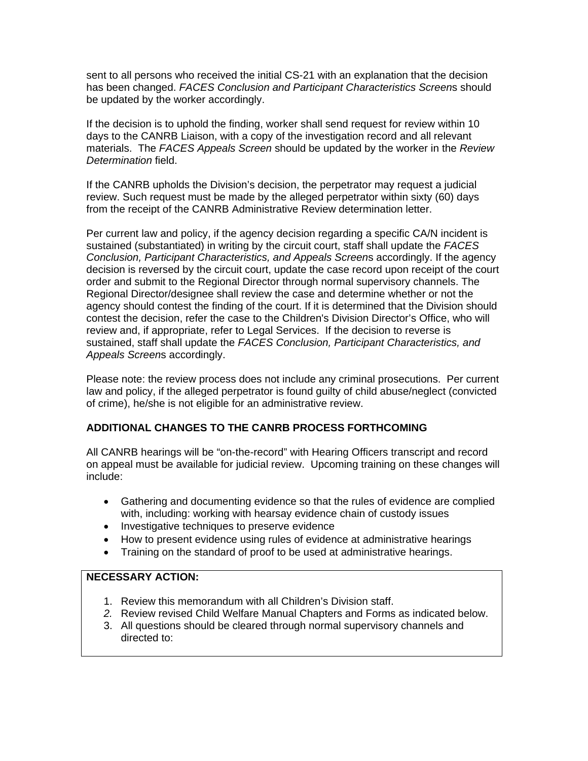sent to all persons who received the initial CS-21 with an explanation that the decision has been changed. *FACES Conclusion and Participant Characteristics Screen*s should be updated by the worker accordingly.

If the decision is to uphold the finding, worker shall send request for review within 10 days to the CANRB Liaison, with a copy of the investigation record and all relevant materials. The *FACES Appeals Screen* should be updated by the worker in the *Review Determination* field.

If the CANRB upholds the Division's decision, the perpetrator may request a judicial review. Such request must be made by the alleged perpetrator within sixty (60) days from the receipt of the CANRB Administrative Review determination letter.

Per current law and policy, if the agency decision regarding a specific CA/N incident is sustained (substantiated) in writing by the circuit court, staff shall update the *FACES Conclusion, Participant Characteristics, and Appeals Screen*s accordingly. If the agency decision is reversed by the circuit court, update the case record upon receipt of the court order and submit to the Regional Director through normal supervisory channels. The Regional Director/designee shall review the case and determine whether or not the agency should contest the finding of the court. If it is determined that the Division should contest the decision, refer the case to the Children's Division Director's Office, who will review and, if appropriate, refer to Legal Services. If the decision to reverse is sustained, staff shall update the *FACES Conclusion, Participant Characteristics, and Appeals Screen*s accordingly.

Please note: the review process does not include any criminal prosecutions. Per current law and policy, if the alleged perpetrator is found guilty of child abuse/neglect (convicted of crime), he/she is not eligible for an administrative review.

### **ADDITIONAL CHANGES TO THE CANRB PROCESS FORTHCOMING**

All CANRB hearings will be "on-the-record" with Hearing Officers transcript and record on appeal must be available for judicial review. Upcoming training on these changes will include:

- Gathering and documenting evidence so that the rules of evidence are complied with, including: working with hearsay evidence chain of custody issues
- Investigative techniques to preserve evidence
- How to present evidence using rules of evidence at administrative hearings
- Training on the standard of proof to be used at administrative hearings.

#### **NECESSARY ACTION:**

- 1. Review this memorandum with all Children's Division staff.
- *2.* Review revised Child Welfare Manual Chapters and Forms as indicated below.
- 3. All questions should be cleared through normal supervisory channels and directed to: